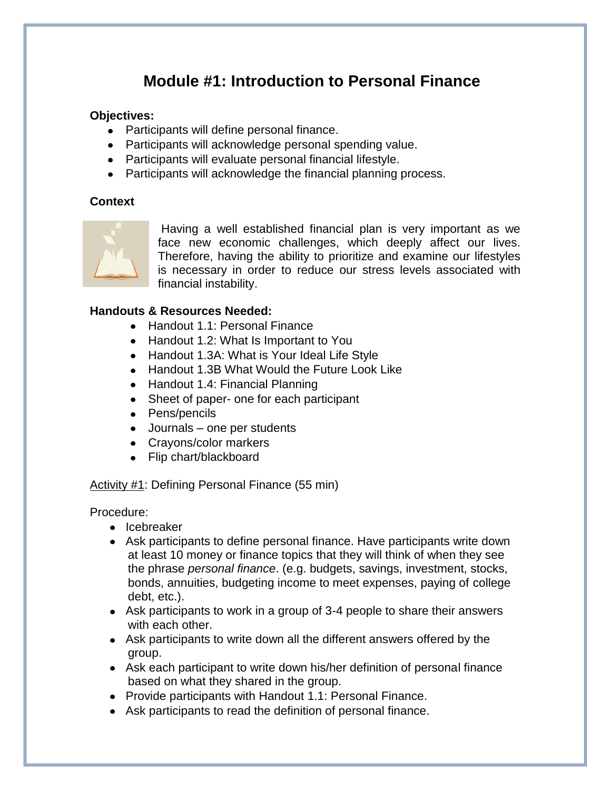# **Module #1: Introduction to Personal Finance**

### **Objectives:**

- Participants will define personal finance.
- Participants will acknowledge personal spending value.
- Participants will evaluate personal financial lifestyle.
- Participants will acknowledge the financial planning process.

### **Context**



Having a well established financial plan is very important as we face new economic challenges, which deeply affect our lives. Therefore, having the ability to prioritize and examine our lifestyles is necessary in order to reduce our stress levels associated with financial instability.

### **Handouts & Resources Needed:**

- Handout 1.1: Personal Finance
- Handout 1.2: What Is Important to You
- Handout 1.3A: What is Your Ideal Life Style
- Handout 1.3B What Would the Future Look Like
- Handout 1.4: Financial Planning
- Sheet of paper- one for each participant
- Pens/pencils
- Journals one per students
- Crayons/color markers
- Flip chart/blackboard

### Activity #1: Defining Personal Finance (55 min)

Procedure:

- Icebreaker
- Ask participants to define personal finance. Have participants write down at least 10 money or finance topics that they will think of when they see the phrase *personal finance*. (e.g. budgets, savings, investment, stocks, bonds, annuities, budgeting income to meet expenses, paying of college debt, etc.).
- Ask participants to work in a group of 3-4 people to share their answers with each other.
- Ask participants to write down all the different answers offered by the group.
- Ask each participant to write down his/her definition of personal finance based on what they shared in the group.
- Provide participants with Handout 1.1: Personal Finance.
- Ask participants to read the definition of personal finance.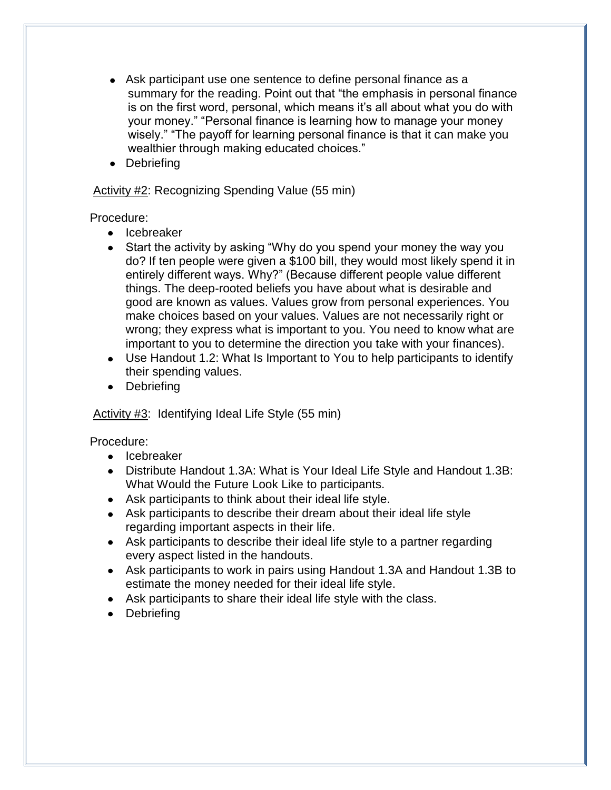- Ask participant use one sentence to define personal finance as a summary for the reading. Point out that "the emphasis in personal finance is on the first word, personal, which means it's all about what you do with your money." "Personal finance is learning how to manage your money wisely." "The payoff for learning personal finance is that it can make you wealthier through making educated choices."
- Debriefing

### Activity #2: Recognizing Spending Value (55 min)

Procedure:

- Icebreaker
- Start the activity by asking "Why do you spend your money the way you do? If ten people were given a \$100 bill, they would most likely spend it in entirely different ways. Why?" (Because different people value different things. The deep-rooted beliefs you have about what is desirable and good are known as values. Values grow from personal experiences. You make choices based on your values. Values are not necessarily right or wrong; they express what is important to you. You need to know what are important to you to determine the direction you take with your finances).
- Use Handout 1.2: What Is Important to You to help participants to identify their spending values.
- Debriefing

### Activity #3: Identifying Ideal Life Style (55 min)

Procedure:

- Icebreaker
- Distribute Handout 1.3A: What is Your Ideal Life Style and Handout 1.3B: What Would the Future Look Like to participants.
- Ask participants to think about their ideal life style.
- Ask participants to describe their dream about their ideal life style regarding important aspects in their life.
- Ask participants to describe their ideal life style to a partner regarding every aspect listed in the handouts.
- Ask participants to work in pairs using Handout 1.3A and Handout 1.3B to estimate the money needed for their ideal life style.
- Ask participants to share their ideal life style with the class.
- Debriefing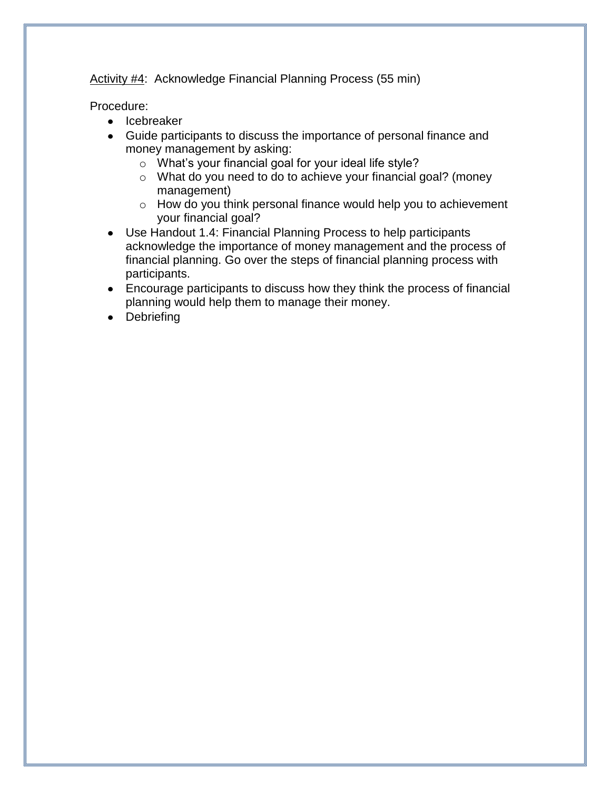Activity #4: Acknowledge Financial Planning Process (55 min)

Procedure:

- Icebreaker
- Guide participants to discuss the importance of personal finance and money management by asking:
	- o What's your financial goal for your ideal life style?
	- o What do you need to do to achieve your financial goal? (money management)
	- o How do you think personal finance would help you to achievement your financial goal?
- Use Handout 1.4: Financial Planning Process to help participants acknowledge the importance of money management and the process of financial planning. Go over the steps of financial planning process with participants.
- Encourage participants to discuss how they think the process of financial planning would help them to manage their money.
- Debriefing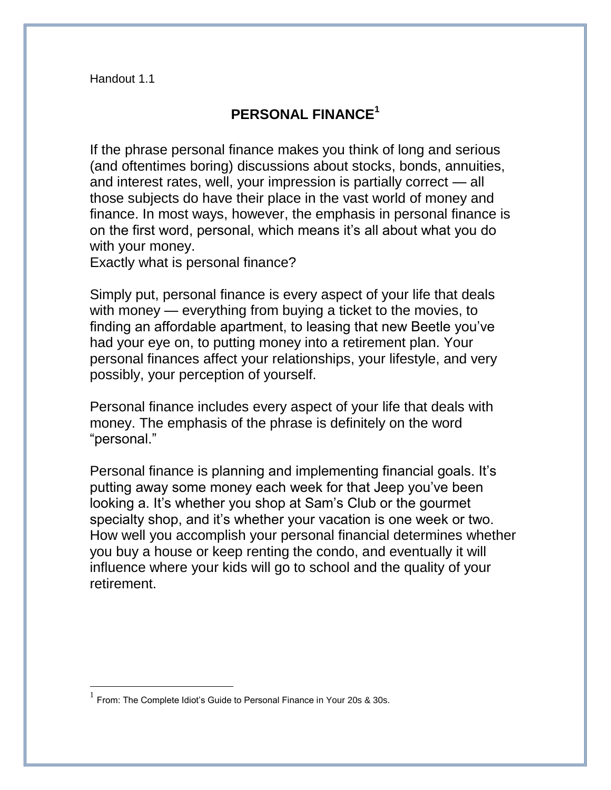Handout 1.1

## **PERSONAL FINANCE<sup>1</sup>**

If the phrase personal finance makes you think of long and serious (and oftentimes boring) discussions about stocks, bonds, annuities, and interest rates, well, your impression is partially correct — all those subjects do have their place in the vast world of money and finance. In most ways, however, the emphasis in personal finance is on the first word, personal, which means it's all about what you do with your money.

Exactly what is personal finance?

Simply put, personal finance is every aspect of your life that deals with money — everything from buying a ticket to the movies, to finding an affordable apartment, to leasing that new Beetle you've had your eye on, to putting money into a retirement plan. Your personal finances affect your relationships, your lifestyle, and very possibly, your perception of yourself.

Personal finance includes every aspect of your life that deals with money. The emphasis of the phrase is definitely on the word "personal."

Personal finance is planning and implementing financial goals. It's putting away some money each week for that Jeep you've been looking a. It's whether you shop at Sam's Club or the gourmet specialty shop, and it's whether your vacation is one week or two. How well you accomplish your personal financial determines whether you buy a house or keep renting the condo, and eventually it will influence where your kids will go to school and the quality of your retirement.

 $\overline{a}$ 

<sup>1</sup> From: The Complete Idiot's Guide to Personal Finance in Your 20s & 30s.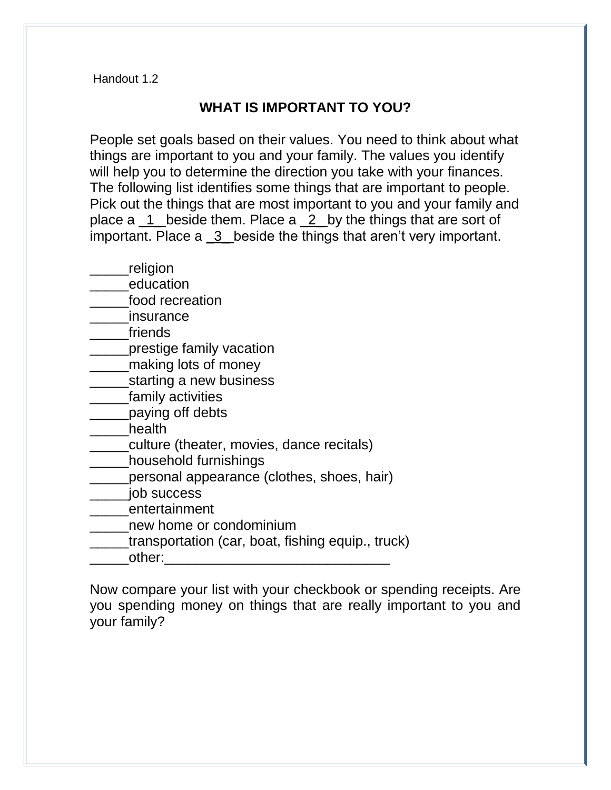Handout 1.2

## **WHAT IS IMPORTANT TO YOU?**

People set goals based on their values. You need to think about what things are important to you and your family. The values you identify will help you to determine the direction you take with your finances. The following list identifies some things that are important to people. Pick out the things that are most important to you and your family and place a \_1\_ beside them. Place a \_2\_ by the things that are sort of important. Place a 3 beside the things that aren't very important.

- \_\_\_\_\_religion
- education
- \_\_\_\_\_food recreation
- \_\_\_\_\_insurance
- \_\_\_\_\_friends
- **\_\_\_\_\_\_prestige family vacation**
- **\_\_\_\_\_\_making lots of money**
- **\_\_\_\_\_\_\_\_starting a new business**
- \_\_\_\_\_family activities
- **\_\_\_\_\_paying off debts**
- \_\_\_\_\_health
- \_\_\_\_\_culture (theater, movies, dance recitals)
- \_\_\_\_\_household furnishings
- **\_\_\_\_\_personal appearance (clothes, shoes, hair)**
- \_\_\_\_\_job success
- \_\_\_\_\_entertainment
- \_\_\_\_\_new home or condominium
- \_\_\_\_\_transportation (car, boat, fishing equip., truck)
- other:

Now compare your list with your checkbook or spending receipts. Are you spending money on things that are really important to you and your family?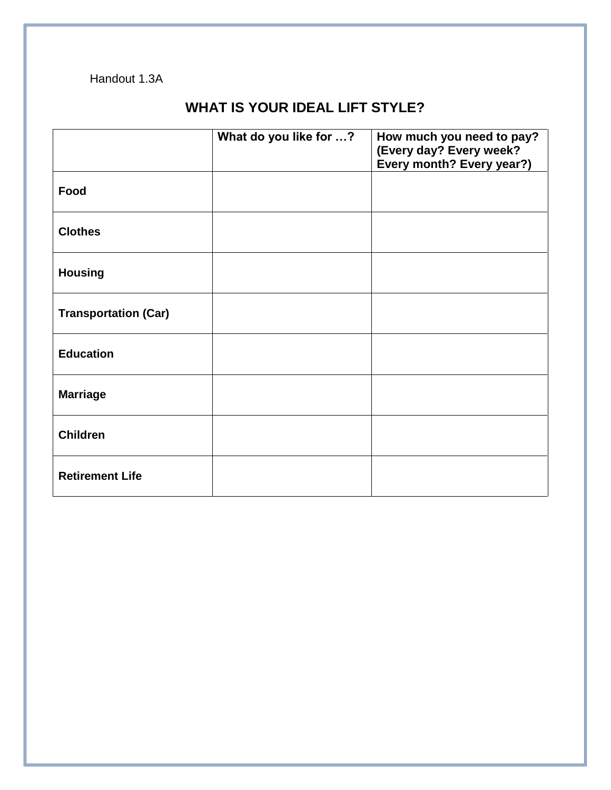### Handout 1.3A

## **WHAT IS YOUR IDEAL LIFT STYLE?**

|                             | What do you like for ? | How much you need to pay?<br>(Every day? Every week?<br>Every month? Every year?) |
|-----------------------------|------------------------|-----------------------------------------------------------------------------------|
| Food                        |                        |                                                                                   |
| <b>Clothes</b>              |                        |                                                                                   |
| <b>Housing</b>              |                        |                                                                                   |
| <b>Transportation (Car)</b> |                        |                                                                                   |
| <b>Education</b>            |                        |                                                                                   |
| <b>Marriage</b>             |                        |                                                                                   |
| <b>Children</b>             |                        |                                                                                   |
| <b>Retirement Life</b>      |                        |                                                                                   |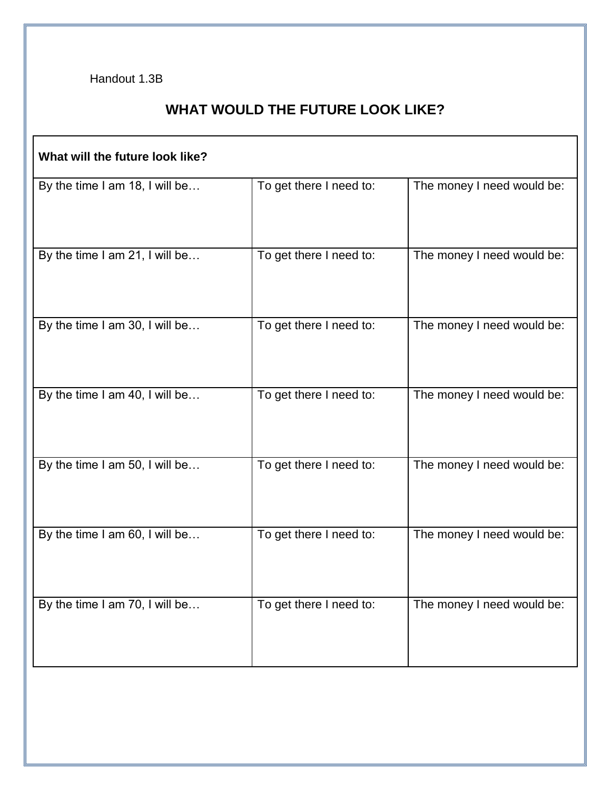Handout 1.3B

# **WHAT WOULD THE FUTURE LOOK LIKE?**

| What will the future look like? |                         |                            |  |
|---------------------------------|-------------------------|----------------------------|--|
| By the time I am 18, I will be  | To get there I need to: | The money I need would be: |  |
| By the time I am 21, I will be  | To get there I need to: | The money I need would be: |  |
| By the time I am 30, I will be  | To get there I need to: | The money I need would be: |  |
| By the time I am 40, I will be  | To get there I need to: | The money I need would be: |  |
| By the time I am 50, I will be  | To get there I need to: | The money I need would be: |  |
| By the time I am 60, I will be  | To get there I need to: | The money I need would be: |  |
| By the time I am 70, I will be  | To get there I need to: | The money I need would be: |  |